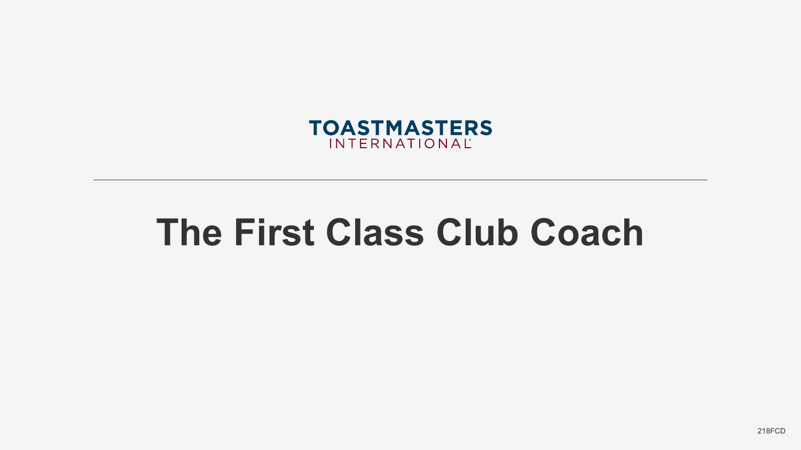

# **The First Class Club Coach**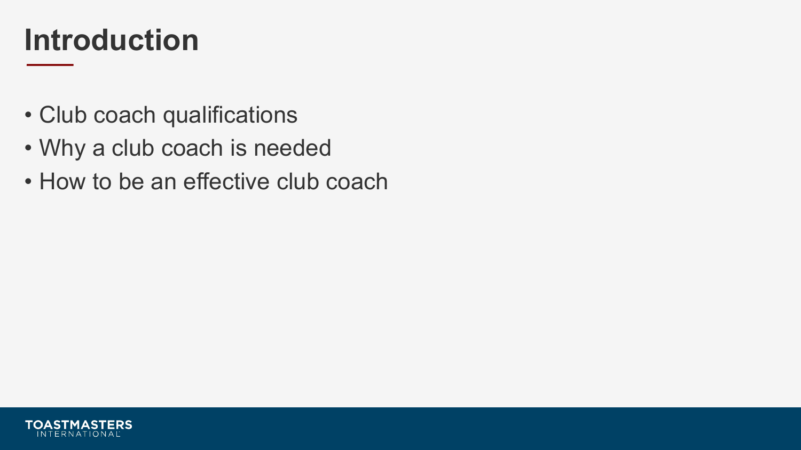#### **Introduction**

- Club coach qualifications
- Why a club coach is needed
- How to be an effective club coach

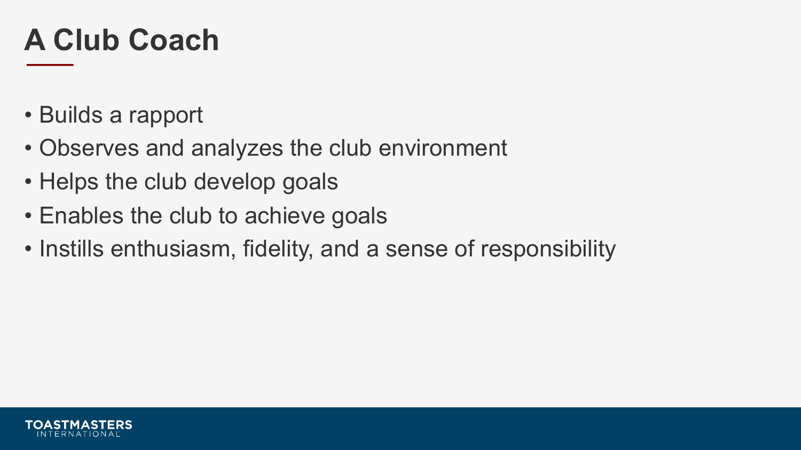#### **A Club Coach**

- Builds a rapport
- Observes and analyzes the club environment
- Helps the club develop goals
- Enables the club to achieve goals
- Instills enthusiasm, fidelity, and a sense of responsibility

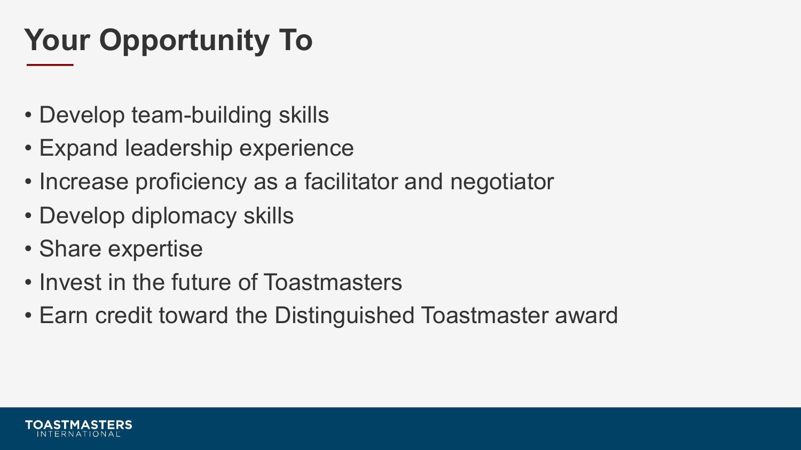## **Your Opportunity To**

- Develop team-building skills
- Expand leadership experience
- Increase proficiency as a facilitator and negotiator
- Develop diplomacy skills
- Share expertise
- Invest in the future of Toastmasters
- Earn credit toward the Distinguished Toastmaster award

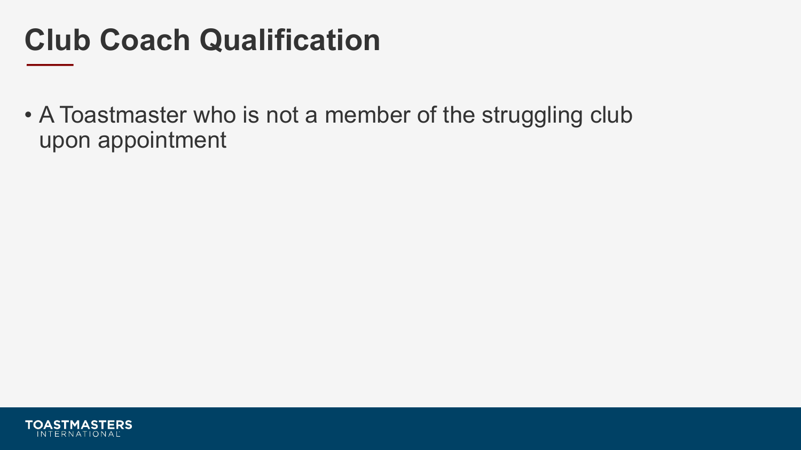#### **Club Coach Qualification**

• A Toastmaster who is not a member of the struggling club upon appointment

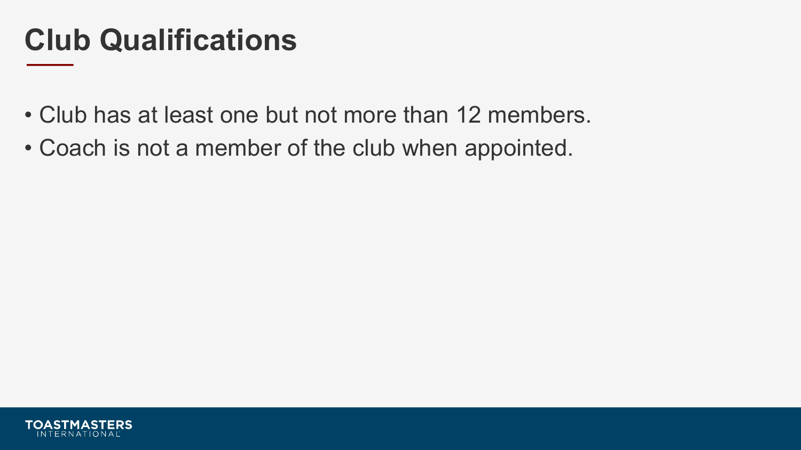#### **Club Qualifications**

- Club has at least one but not more than 12 members.
- Coach is not a member of the club when appointed.

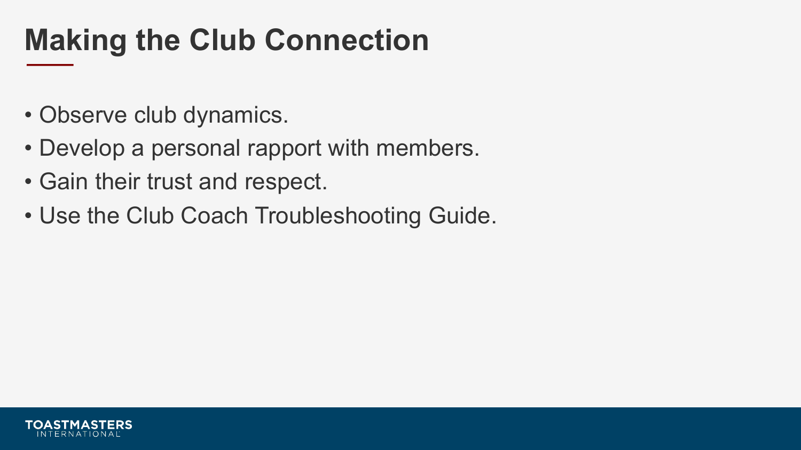### **Making the Club Connection**

- Observe club dynamics.
- Develop a personal rapport with members.
- Gain their trust and respect.
- Use the Club Coach Troubleshooting Guide.

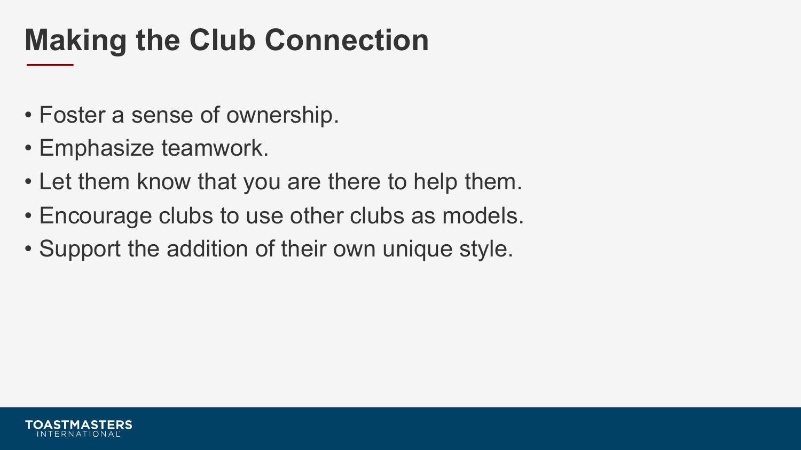### **Making the Club Connection**

- Foster a sense of ownership.
- Emphasize teamwork.
- Let them know that you are there to help them.
- Encourage clubs to use other clubs as models.
- Support the addition of their own unique style.

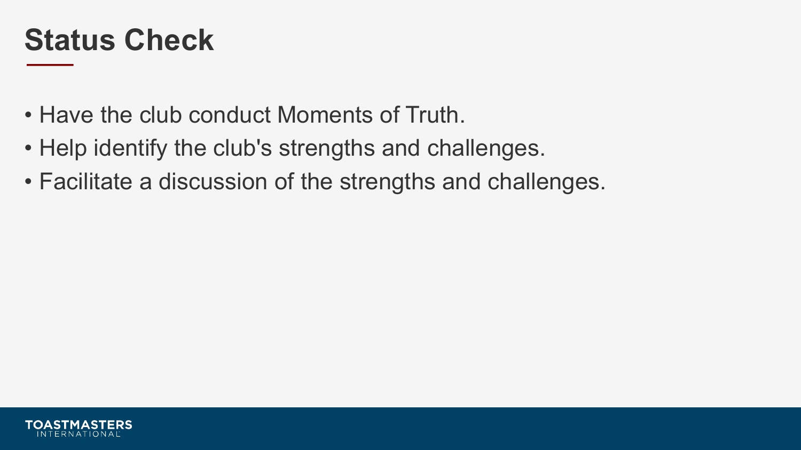#### **Status Check**

- Have the club conduct Moments of Truth.
- Help identify the club's strengths and challenges.
- Facilitate a discussion of the strengths and challenges.

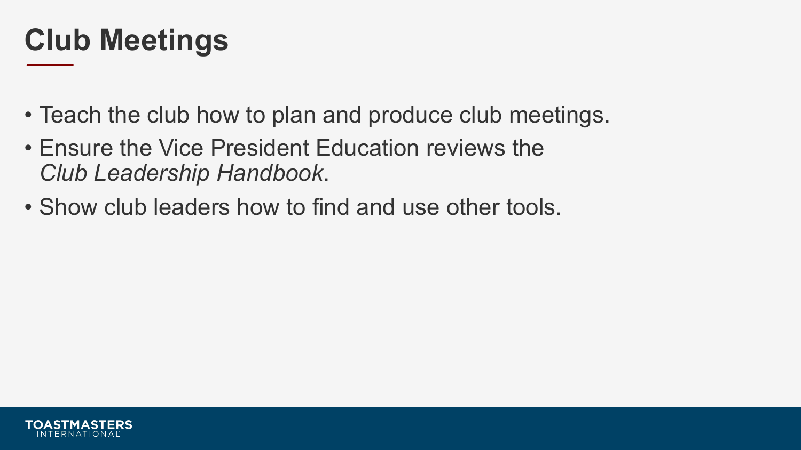#### **Club Meetings**

- Teach the club how to plan and produce club meetings.
- Ensure the Vice President Education reviews the *Club Leadership Handbook*.
- Show club leaders how to find and use other tools.

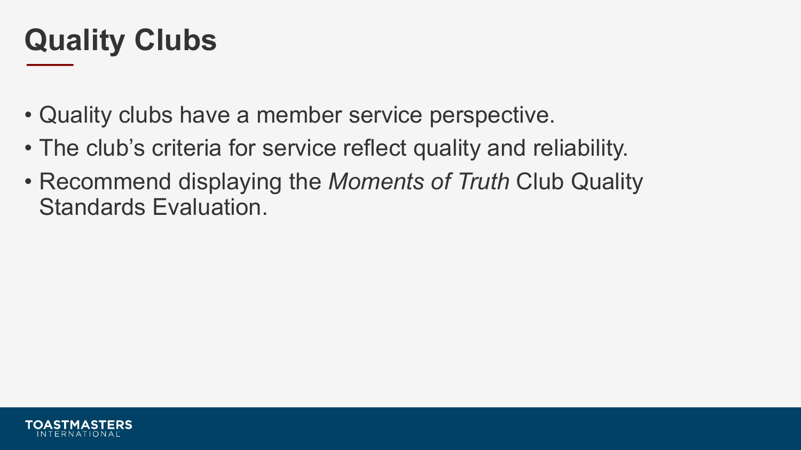#### **Quality Clubs**

- Quality clubs have a member service perspective.
- The club's criteria for service reflect quality and reliability.
- Recommend displaying the *Moments of Truth* Club Quality Standards Evaluation.

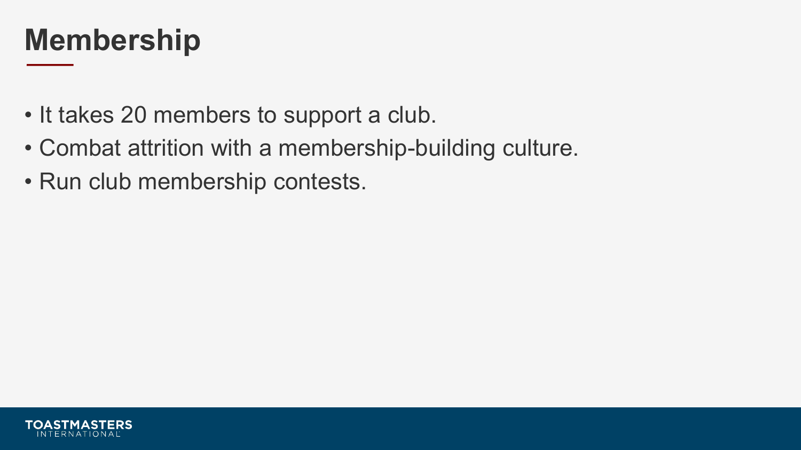#### **Membership**

- It takes 20 members to support a club.
- Combat attrition with a membership-building culture.
- Run club membership contests.

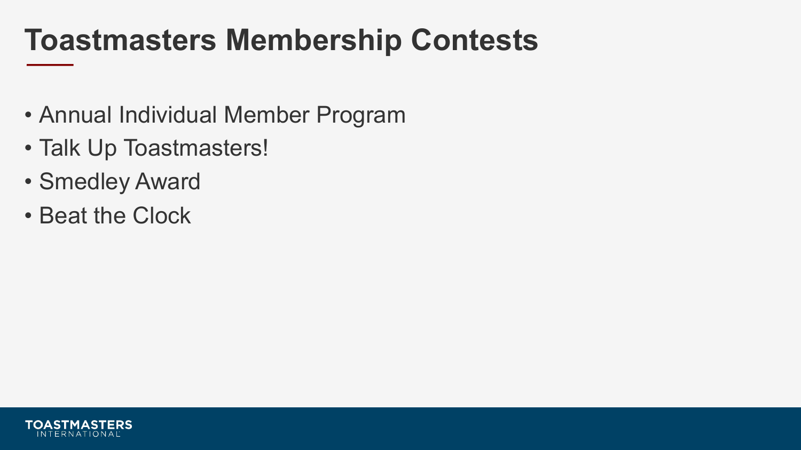#### **Toastmasters Membership Contests**

- Annual Individual Member Program
- Talk Up Toastmasters!
- Smedley Award
- Beat the Clock

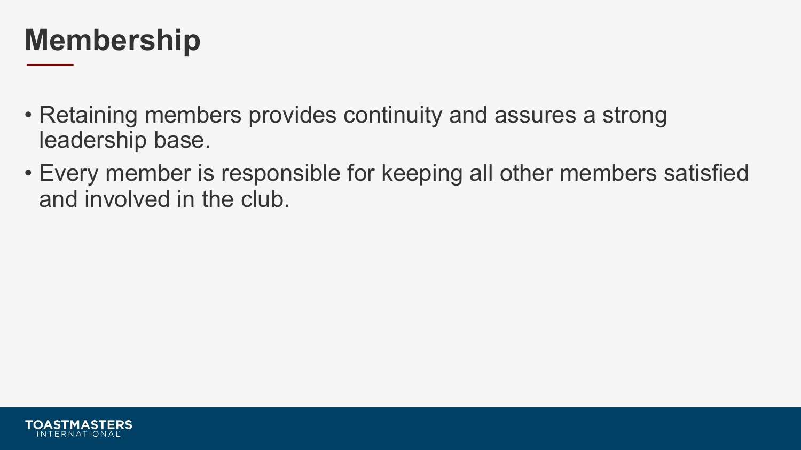#### **Membership**

- Retaining members provides continuity and assures a strong leadership base.
- Every member is responsible for keeping all other members satisfied and involved in the club.

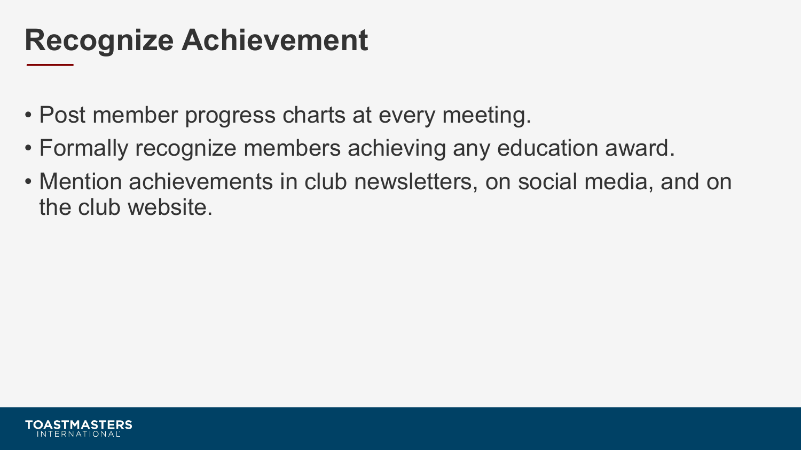#### **Recognize Achievement**

- Post member progress charts at every meeting.
- Formally recognize members achieving any education award.
- Mention achievements in club newsletters, on social media, and on the club website.

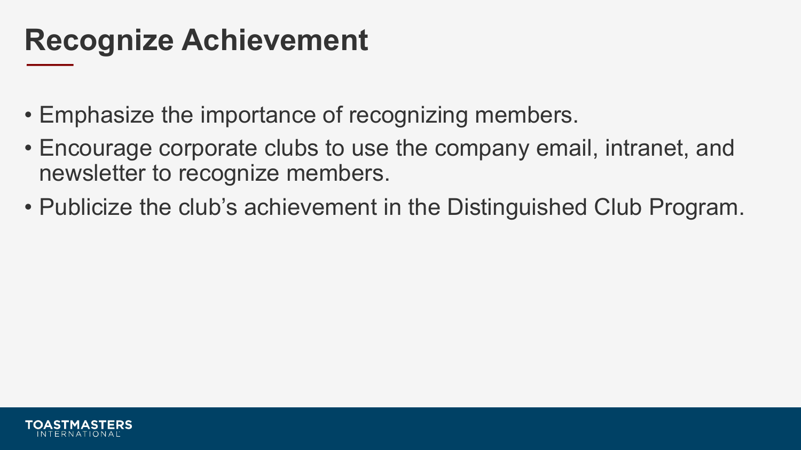#### **Recognize Achievement**

- Emphasize the importance of recognizing members.
- Encourage corporate clubs to use the company email, intranet, and newsletter to recognize members.
- Publicize the club's achievement in the Distinguished Club Program.

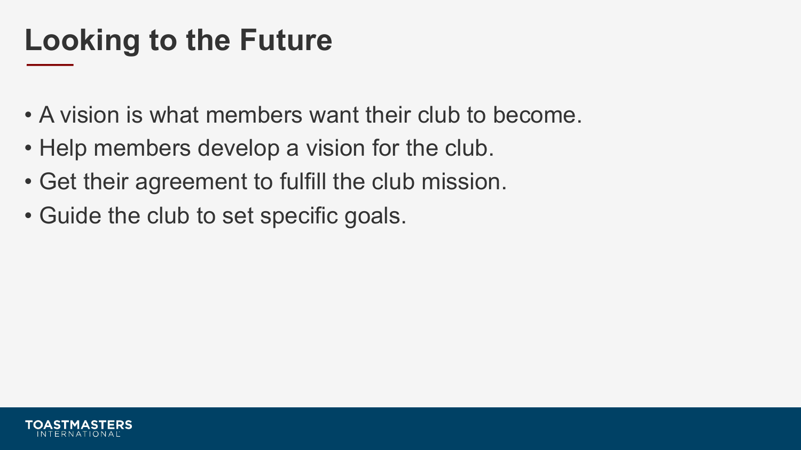### **Looking to the Future**

- A vision is what members want their club to become.
- Help members develop a vision for the club.
- Get their agreement to fulfill the club mission.
- Guide the club to set specific goals.

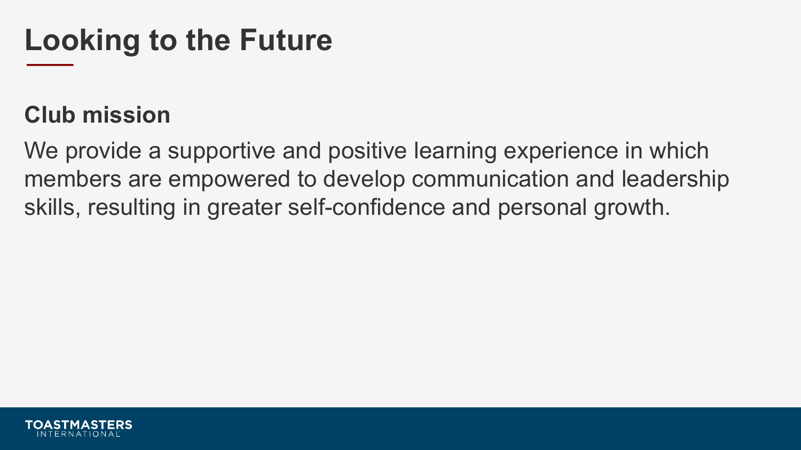### **Looking to the Future**

#### **Club mission**

We provide a supportive and positive learning experience in which members are empowered to develop communication and leadership skills, resulting in greater self-confidence and personal growth.

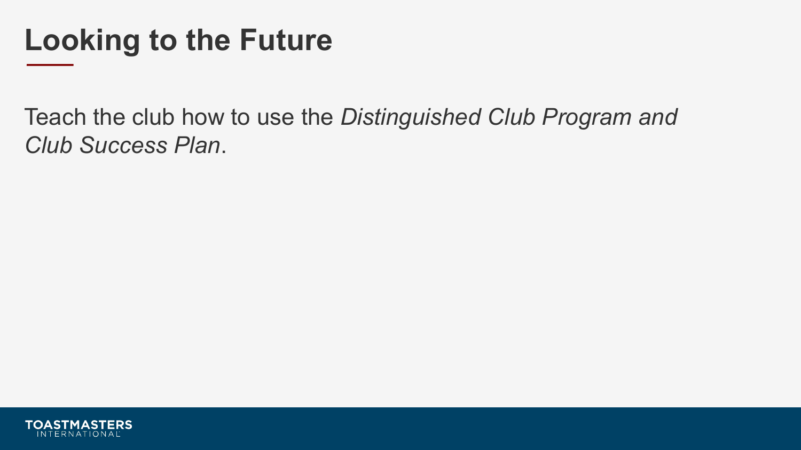#### **Looking to the Future**

Teach the club how to use the *Distinguished Club Program and Club Success Plan*.

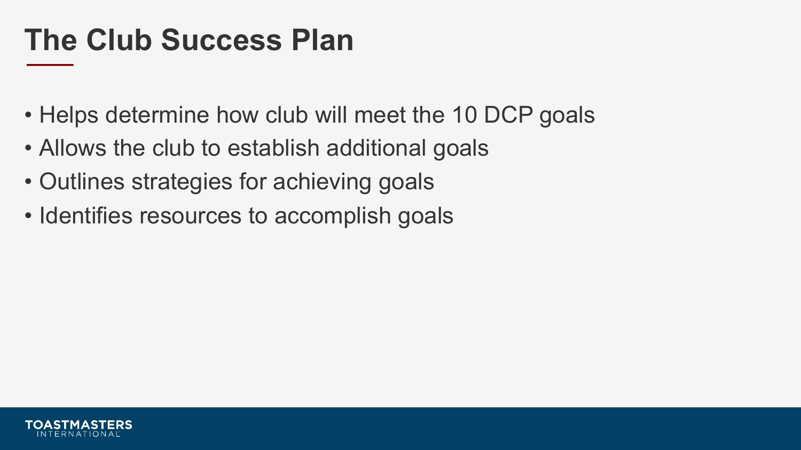#### **The Club Success Plan**

- Helps determine how club will meet the 10 DCP goals
- Allows the club to establish additional goals
- Outlines strategies for achieving goals
- Identifies resources to accomplish goals